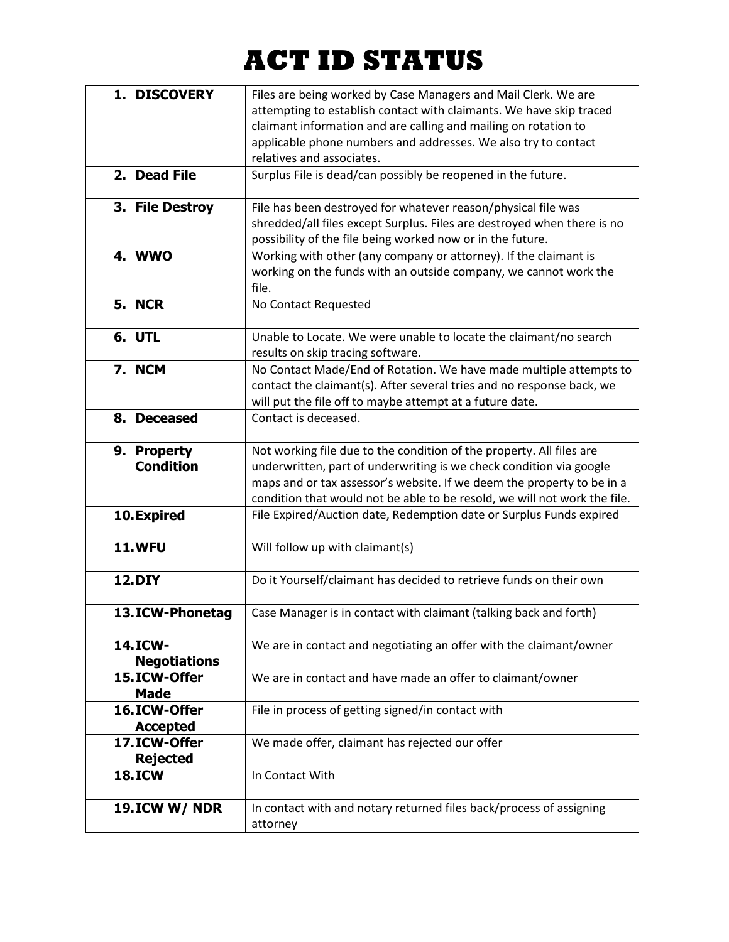## **ACT ID STATUS**

| 1. DISCOVERY        | Files are being worked by Case Managers and Mail Clerk. We are            |
|---------------------|---------------------------------------------------------------------------|
|                     | attempting to establish contact with claimants. We have skip traced       |
|                     | claimant information and are calling and mailing on rotation to           |
|                     | applicable phone numbers and addresses. We also try to contact            |
|                     | relatives and associates.                                                 |
| 2. Dead File        | Surplus File is dead/can possibly be reopened in the future.              |
|                     |                                                                           |
|                     |                                                                           |
| 3. File Destroy     | File has been destroyed for whatever reason/physical file was             |
|                     | shredded/all files except Surplus. Files are destroyed when there is no   |
|                     | possibility of the file being worked now or in the future.                |
| <b>4. WWO</b>       | Working with other (any company or attorney). If the claimant is          |
|                     | working on the funds with an outside company, we cannot work the          |
|                     | file.                                                                     |
| <b>5. NCR</b>       | No Contact Requested                                                      |
|                     |                                                                           |
| 6. UTL              | Unable to Locate. We were unable to locate the claimant/no search         |
|                     | results on skip tracing software.                                         |
| 7. NCM              | No Contact Made/End of Rotation. We have made multiple attempts to        |
|                     | contact the claimant(s). After several tries and no response back, we     |
|                     | will put the file off to maybe attempt at a future date.                  |
| 8. Deceased         | Contact is deceased.                                                      |
|                     |                                                                           |
| 9. Property         | Not working file due to the condition of the property. All files are      |
| <b>Condition</b>    | underwritten, part of underwriting is we check condition via google       |
|                     | maps and or tax assessor's website. If we deem the property to be in a    |
|                     | condition that would not be able to be resold, we will not work the file. |
| 10. Expired         | File Expired/Auction date, Redemption date or Surplus Funds expired       |
|                     |                                                                           |
| <b>11.WFU</b>       | Will follow up with claimant(s)                                           |
|                     |                                                                           |
| <b>12.DIY</b>       | Do it Yourself/claimant has decided to retrieve funds on their own        |
|                     |                                                                           |
| 13.ICW-Phonetag     | Case Manager is in contact with claimant (talking back and forth)         |
|                     |                                                                           |
| 14.ICW-             | We are in contact and negotiating an offer with the claimant/owner        |
| <b>Negotiations</b> |                                                                           |
| 15.ICW-Offer        | We are in contact and have made an offer to claimant/owner                |
| <b>Made</b>         |                                                                           |
| 16.ICW-Offer        | File in process of getting signed/in contact with                         |
| <b>Accepted</b>     |                                                                           |
| 17.ICW-Offer        | We made offer, claimant has rejected our offer                            |
| <b>Rejected</b>     |                                                                           |
| <b>18.ICW</b>       | In Contact With                                                           |
|                     |                                                                           |
| 19.ICW W/ NDR       | In contact with and notary returned files back/process of assigning       |
|                     | attorney                                                                  |
|                     |                                                                           |